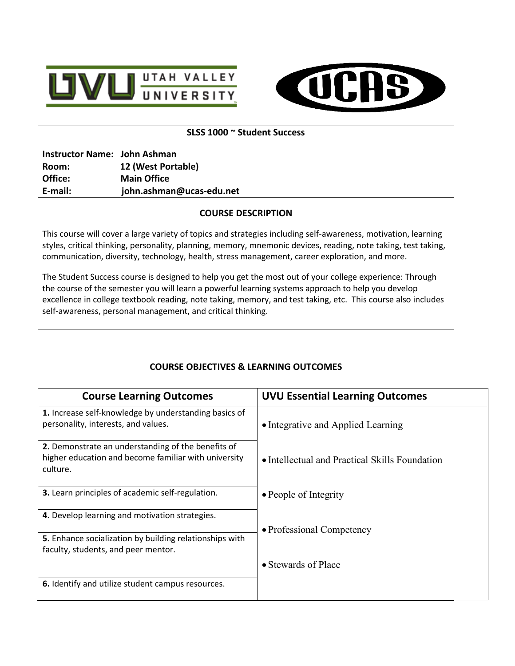



## **SLSS 1000 ~ Student Success**

| Instructor Name: John Ashman |                          |
|------------------------------|--------------------------|
| Room:                        | 12 (West Portable)       |
| Office:                      | <b>Main Office</b>       |
| E-mail:                      | john.ashman@ucas-edu.net |

# **COURSE DESCRIPTION**

This course will cover a large variety of topics and strategies including self-awareness, motivation, learning styles, critical thinking, personality, planning, memory, mnemonic devices, reading, note taking, test taking, communication, diversity, technology, health, stress management, career exploration, and more.

The Student Success course is designed to help you get the most out of your college experience: Through the course of the semester you will learn a powerful learning systems approach to help you develop excellence in college textbook reading, note taking, memory, and test taking, etc. This course also includes self-awareness, personal management, and critical thinking.

| <b>Course Learning Outcomes</b>                                                                                        | <b>UVU Essential Learning Outcomes</b>         |
|------------------------------------------------------------------------------------------------------------------------|------------------------------------------------|
| 1. Increase self-knowledge by understanding basics of<br>personality, interests, and values.                           | • Integrative and Applied Learning             |
| 2. Demonstrate an understanding of the benefits of<br>higher education and become familiar with university<br>culture. | • Intellectual and Practical Skills Foundation |
| 3. Learn principles of academic self-regulation.                                                                       | • People of Integrity                          |
| 4. Develop learning and motivation strategies.                                                                         |                                                |
|                                                                                                                        | • Professional Competency                      |
| 5. Enhance socialization by building relationships with<br>faculty, students, and peer mentor.                         |                                                |
|                                                                                                                        | • Stewards of Place                            |
| 6. Identify and utilize student campus resources.                                                                      |                                                |

# **COURSE OBJECTIVES & LEARNING OUTCOMES**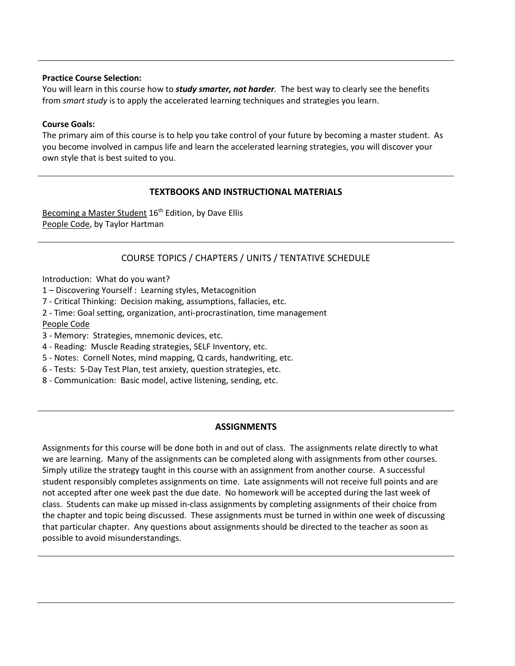#### **Practice Course Selection:**

You will learn in this course how to *study smarter, not harder.* The best way to clearly see the benefits from *smart study* is to apply the accelerated learning techniques and strategies you learn.

#### **Course Goals:**

The primary aim of this course is to help you take control of your future by becoming a master student.As you become involved in campus life and learn the accelerated learning strategies, you will discover your own style that is best suited to you.

### **TEXTBOOKS AND INSTRUCTIONAL MATERIALS**

Becoming a Master Student 16<sup>th</sup> Edition, by Dave Ellis People Code, by Taylor Hartman

## COURSE TOPICS / CHAPTERS / UNITS / TENTATIVE SCHEDULE

Introduction: What do you want?

- 1 Discovering Yourself : Learning styles, Metacognition
- 7 Critical Thinking: Decision making, assumptions, fallacies, etc.
- 2 Time: Goal setting, organization, anti-procrastination, time management People Code
- 3 Memory: Strategies, mnemonic devices, etc.
- 4 Reading: Muscle Reading strategies, SELF Inventory, etc.
- 5 Notes: Cornell Notes, mind mapping, Q cards, handwriting, etc.
- 6 Tests: 5-Day Test Plan, test anxiety, question strategies, etc.
- 8 Communication: Basic model, active listening, sending, etc.

### **ASSIGNMENTS**

Assignments for this course will be done both in and out of class. The assignments relate directly to what we are learning. Many of the assignments can be completed along with assignments from other courses. Simply utilize the strategy taught in this course with an assignment from another course. A successful student responsibly completes assignments on time. Late assignments will not receive full points and are not accepted after one week past the due date. No homework will be accepted during the last week of class. Students can make up missed in-class assignments by completing assignments of their choice from the chapter and topic being discussed. These assignments must be turned in within one week of discussing that particular chapter. Any questions about assignments should be directed to the teacher as soon as possible to avoid misunderstandings.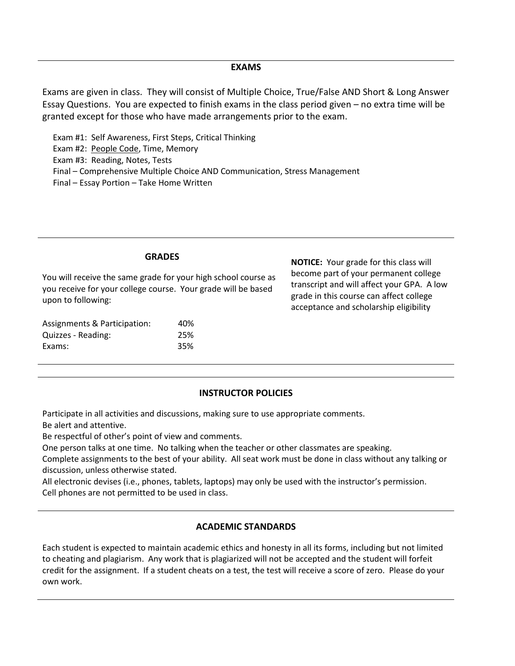#### **EXAMS**

Exams are given in class. They will consist of Multiple Choice, True/False AND Short & Long Answer Essay Questions. You are expected to finish exams in the class period given – no extra time will be granted except for those who have made arrangements prior to the exam.

 Exam #1: Self Awareness, First Steps, Critical Thinking Exam #2: People Code, Time, Memory Exam #3: Reading, Notes, Tests Final – Comprehensive Multiple Choice AND Communication, Stress Management Final – Essay Portion – Take Home Written

You will receive the same grade for your high school course as you receive for your college course. Your grade will be based upon to following:

| Assignments & Participation: | 40% |
|------------------------------|-----|
| Quizzes - Reading:           | 25% |
| Exams:                       | 35% |

**NOTICE:** Your grade for this class will become part of your permanent college transcript and will affect your GPA. A low grade in this course can affect college acceptance and scholarship eligibility

#### **INSTRUCTOR POLICIES**

Participate in all activities and discussions, making sure to use appropriate comments.

Be alert and attentive.

Be respectful of other's point of view and comments.

One person talks at one time. No talking when the teacher or other classmates are speaking.

Complete assignments to the best of your ability. All seat work must be done in class without any talking or discussion, unless otherwise stated.

All electronic devises (i.e., phones, tablets, laptops) may only be used with the instructor's permission. Cell phones are not permitted to be used in class.

## **ACADEMIC STANDARDS**

Each student is expected to maintain academic ethics and honesty in all its forms, including but not limited to cheating and plagiarism. Any work that is plagiarized will not be accepted and the student will forfeit credit for the assignment. If a student cheats on a test, the test will receive a score of zero. Please do your own work.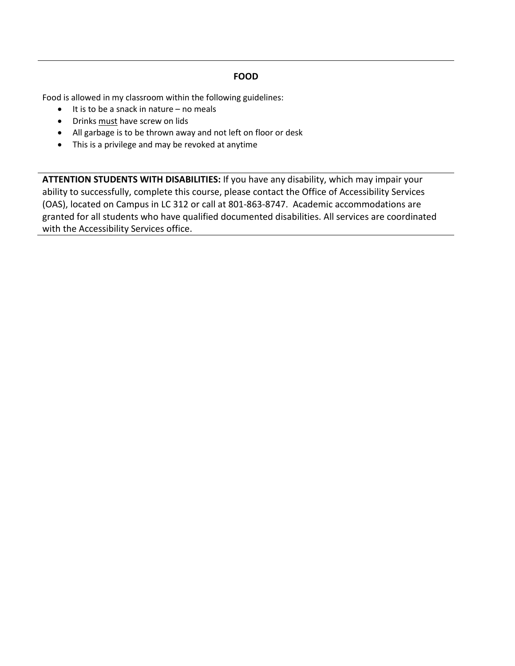# **FOOD**

Food is allowed in my classroom within the following guidelines:

- It is to be a snack in nature no meals
- Drinks must have screw on lids
- All garbage is to be thrown away and not left on floor or desk
- This is a privilege and may be revoked at anytime

**ATTENTION STUDENTS WITH DISABILITIES:** If you have any disability, which may impair your ability to successfully, complete this course, please contact the Office of Accessibility Services (OAS), located on Campus in LC 312 or call at 801-863-8747. Academic accommodations are granted for all students who have qualified documented disabilities. All services are coordinated with the Accessibility Services office.